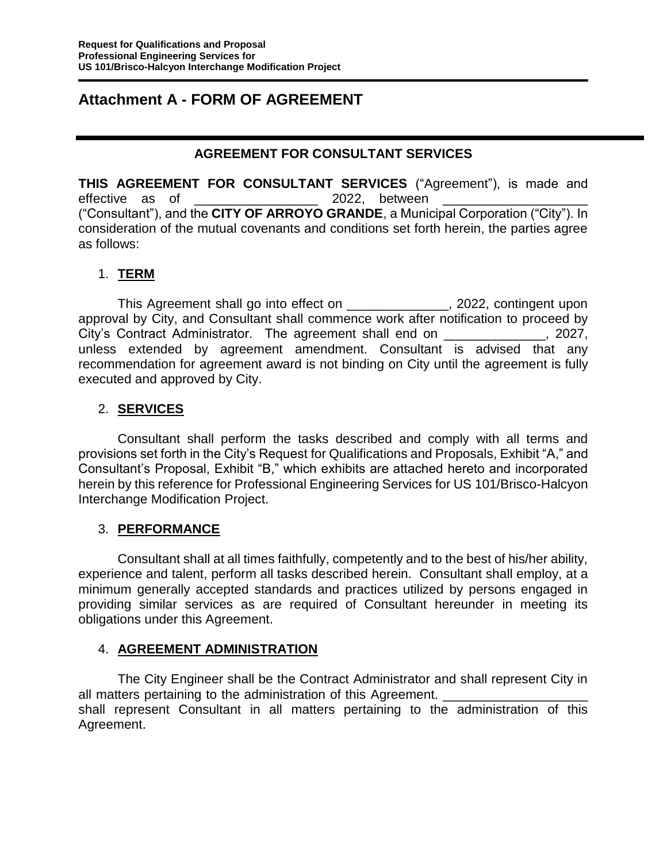## **Attachment A - FORM OF AGREEMENT**

#### **AGREEMENT FOR CONSULTANT SERVICES**

**THIS AGREEMENT FOR CONSULTANT SERVICES** ("Agreement"), is made and effective as of  $2022$ , between ("Consultant"), and the **CITY OF ARROYO GRANDE**, a Municipal Corporation ("City"). In consideration of the mutual covenants and conditions set forth herein, the parties agree as follows:

#### 1. **TERM**

This Agreement shall go into effect on \_\_\_\_\_\_\_\_\_\_\_\_\_\_, 2022, contingent upon approval by City, and Consultant shall commence work after notification to proceed by City's Contract Administrator. The agreement shall end on \_\_\_\_\_\_\_\_\_\_\_\_\_\_, 2027, unless extended by agreement amendment. Consultant is advised that any recommendation for agreement award is not binding on City until the agreement is fully executed and approved by City.

#### 2. **SERVICES**

Consultant shall perform the tasks described and comply with all terms and provisions set forth in the City's Request for Qualifications and Proposals, Exhibit "A," and Consultant's Proposal, Exhibit "B," which exhibits are attached hereto and incorporated herein by this reference for Professional Engineering Services for US 101/Brisco-Halcyon Interchange Modification Project.

## 3. **PERFORMANCE**

Consultant shall at all times faithfully, competently and to the best of his/her ability, experience and talent, perform all tasks described herein. Consultant shall employ, at a minimum generally accepted standards and practices utilized by persons engaged in providing similar services as are required of Consultant hereunder in meeting its obligations under this Agreement.

#### 4. **AGREEMENT ADMINISTRATION**

The City Engineer shall be the Contract Administrator and shall represent City in all matters pertaining to the administration of this Agreement. shall represent Consultant in all matters pertaining to the administration of this Agreement.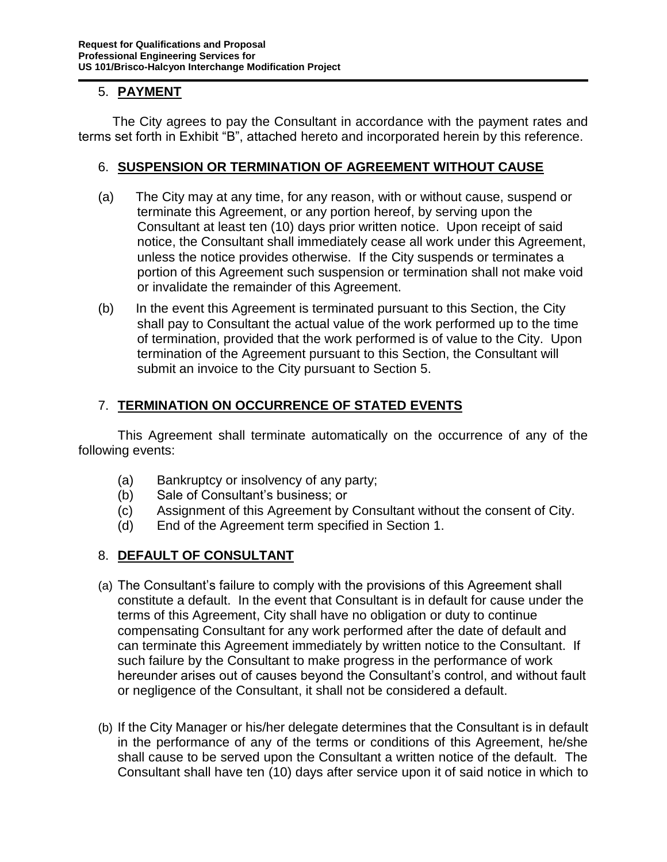### 5. **PAYMENT**

 The City agrees to pay the Consultant in accordance with the payment rates and terms set forth in Exhibit "B", attached hereto and incorporated herein by this reference.

#### 6. **SUSPENSION OR TERMINATION OF AGREEMENT WITHOUT CAUSE**

- (a) The City may at any time, for any reason, with or without cause, suspend or terminate this Agreement, or any portion hereof, by serving upon the Consultant at least ten (10) days prior written notice. Upon receipt of said notice, the Consultant shall immediately cease all work under this Agreement, unless the notice provides otherwise. If the City suspends or terminates a portion of this Agreement such suspension or termination shall not make void or invalidate the remainder of this Agreement.
- (b) In the event this Agreement is terminated pursuant to this Section, the City shall pay to Consultant the actual value of the work performed up to the time of termination, provided that the work performed is of value to the City. Upon termination of the Agreement pursuant to this Section, the Consultant will submit an invoice to the City pursuant to Section 5.

## 7. **TERMINATION ON OCCURRENCE OF STATED EVENTS**

This Agreement shall terminate automatically on the occurrence of any of the following events:

- (a) Bankruptcy or insolvency of any party;
- (b) Sale of Consultant's business; or
- (c) Assignment of this Agreement by Consultant without the consent of City.
- (d) End of the Agreement term specified in Section 1.

## 8. **DEFAULT OF CONSULTANT**

- (a) The Consultant's failure to comply with the provisions of this Agreement shall constitute a default. In the event that Consultant is in default for cause under the terms of this Agreement, City shall have no obligation or duty to continue compensating Consultant for any work performed after the date of default and can terminate this Agreement immediately by written notice to the Consultant. If such failure by the Consultant to make progress in the performance of work hereunder arises out of causes beyond the Consultant's control, and without fault or negligence of the Consultant, it shall not be considered a default.
- (b) If the City Manager or his/her delegate determines that the Consultant is in default in the performance of any of the terms or conditions of this Agreement, he/she shall cause to be served upon the Consultant a written notice of the default. The Consultant shall have ten (10) days after service upon it of said notice in which to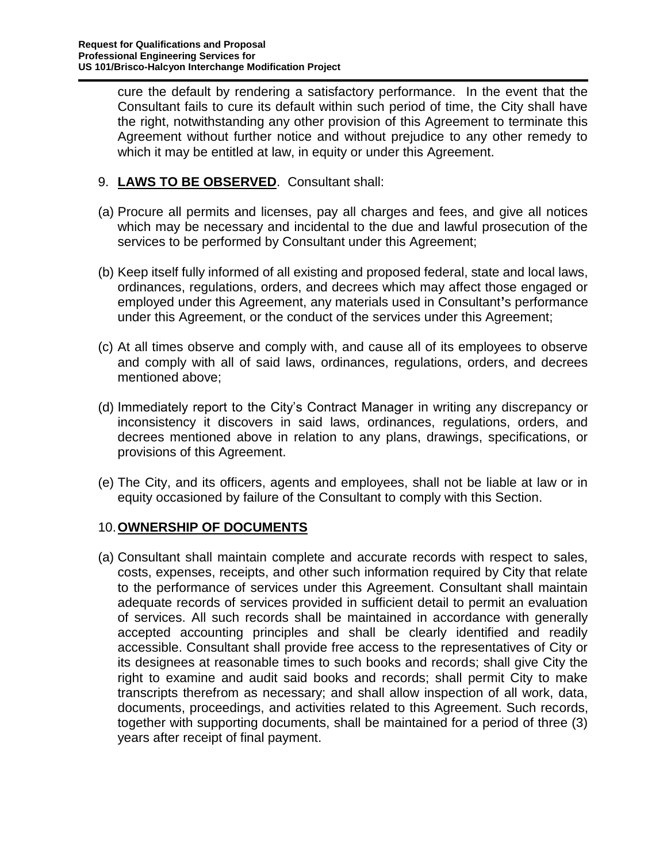cure the default by rendering a satisfactory performance. In the event that the Consultant fails to cure its default within such period of time, the City shall have the right, notwithstanding any other provision of this Agreement to terminate this Agreement without further notice and without prejudice to any other remedy to which it may be entitled at law, in equity or under this Agreement.

## 9. **LAWS TO BE OBSERVED**. Consultant shall:

- (a) Procure all permits and licenses, pay all charges and fees, and give all notices which may be necessary and incidental to the due and lawful prosecution of the services to be performed by Consultant under this Agreement;
- (b) Keep itself fully informed of all existing and proposed federal, state and local laws, ordinances, regulations, orders, and decrees which may affect those engaged or employed under this Agreement, any materials used in Consultant**'**s performance under this Agreement, or the conduct of the services under this Agreement;
- (c) At all times observe and comply with, and cause all of its employees to observe and comply with all of said laws, ordinances, regulations, orders, and decrees mentioned above;
- (d) Immediately report to the City's Contract Manager in writing any discrepancy or inconsistency it discovers in said laws, ordinances, regulations, orders, and decrees mentioned above in relation to any plans, drawings, specifications, or provisions of this Agreement.
- (e) The City, and its officers, agents and employees, shall not be liable at law or in equity occasioned by failure of the Consultant to comply with this Section.

## 10.**OWNERSHIP OF DOCUMENTS**

(a) Consultant shall maintain complete and accurate records with respect to sales, costs, expenses, receipts, and other such information required by City that relate to the performance of services under this Agreement. Consultant shall maintain adequate records of services provided in sufficient detail to permit an evaluation of services. All such records shall be maintained in accordance with generally accepted accounting principles and shall be clearly identified and readily accessible. Consultant shall provide free access to the representatives of City or its designees at reasonable times to such books and records; shall give City the right to examine and audit said books and records; shall permit City to make transcripts therefrom as necessary; and shall allow inspection of all work, data, documents, proceedings, and activities related to this Agreement. Such records, together with supporting documents, shall be maintained for a period of three (3) years after receipt of final payment.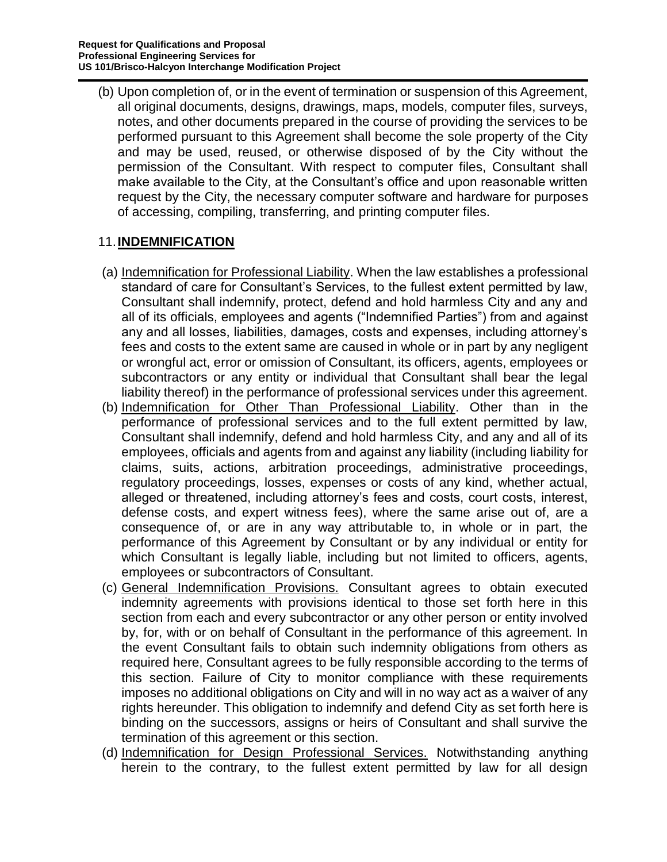(b) Upon completion of, or in the event of termination or suspension of this Agreement, all original documents, designs, drawings, maps, models, computer files, surveys, notes, and other documents prepared in the course of providing the services to be performed pursuant to this Agreement shall become the sole property of the City and may be used, reused, or otherwise disposed of by the City without the permission of the Consultant. With respect to computer files, Consultant shall make available to the City, at the Consultant's office and upon reasonable written request by the City, the necessary computer software and hardware for purposes of accessing, compiling, transferring, and printing computer files.

#### 11.**INDEMNIFICATION**

- (a) Indemnification for Professional Liability. When the law establishes a professional standard of care for Consultant's Services, to the fullest extent permitted by law, Consultant shall indemnify, protect, defend and hold harmless City and any and all of its officials, employees and agents ("Indemnified Parties") from and against any and all losses, liabilities, damages, costs and expenses, including attorney's fees and costs to the extent same are caused in whole or in part by any negligent or wrongful act, error or omission of Consultant, its officers, agents, employees or subcontractors or any entity or individual that Consultant shall bear the legal liability thereof) in the performance of professional services under this agreement.
- (b) Indemnification for Other Than Professional Liability. Other than in the performance of professional services and to the full extent permitted by law, Consultant shall indemnify, defend and hold harmless City, and any and all of its employees, officials and agents from and against any liability (including liability for claims, suits, actions, arbitration proceedings, administrative proceedings, regulatory proceedings, losses, expenses or costs of any kind, whether actual, alleged or threatened, including attorney's fees and costs, court costs, interest, defense costs, and expert witness fees), where the same arise out of, are a consequence of, or are in any way attributable to, in whole or in part, the performance of this Agreement by Consultant or by any individual or entity for which Consultant is legally liable, including but not limited to officers, agents, employees or subcontractors of Consultant.
- (c) General Indemnification Provisions. Consultant agrees to obtain executed indemnity agreements with provisions identical to those set forth here in this section from each and every subcontractor or any other person or entity involved by, for, with or on behalf of Consultant in the performance of this agreement. In the event Consultant fails to obtain such indemnity obligations from others as required here, Consultant agrees to be fully responsible according to the terms of this section. Failure of City to monitor compliance with these requirements imposes no additional obligations on City and will in no way act as a waiver of any rights hereunder. This obligation to indemnify and defend City as set forth here is binding on the successors, assigns or heirs of Consultant and shall survive the termination of this agreement or this section.
- (d) Indemnification for Design Professional Services. Notwithstanding anything herein to the contrary, to the fullest extent permitted by law for all design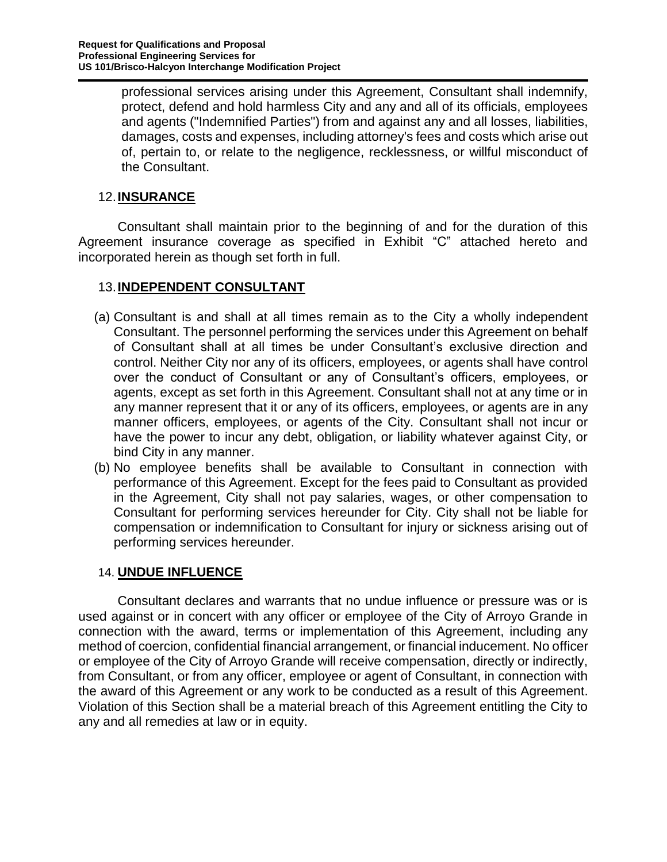professional services arising under this Agreement, Consultant shall indemnify, protect, defend and hold harmless City and any and all of its officials, employees and agents ("Indemnified Parties") from and against any and all losses, liabilities, damages, costs and expenses, including attorney's fees and costs which arise out of, pertain to, or relate to the negligence, recklessness, or willful misconduct of the Consultant.

### 12.**INSURANCE**

Consultant shall maintain prior to the beginning of and for the duration of this Agreement insurance coverage as specified in Exhibit "C" attached hereto and incorporated herein as though set forth in full.

#### 13.**INDEPENDENT CONSULTANT**

- (a) Consultant is and shall at all times remain as to the City a wholly independent Consultant. The personnel performing the services under this Agreement on behalf of Consultant shall at all times be under Consultant's exclusive direction and control. Neither City nor any of its officers, employees, or agents shall have control over the conduct of Consultant or any of Consultant's officers, employees, or agents, except as set forth in this Agreement. Consultant shall not at any time or in any manner represent that it or any of its officers, employees, or agents are in any manner officers, employees, or agents of the City. Consultant shall not incur or have the power to incur any debt, obligation, or liability whatever against City, or bind City in any manner.
- (b) No employee benefits shall be available to Consultant in connection with performance of this Agreement. Except for the fees paid to Consultant as provided in the Agreement, City shall not pay salaries, wages, or other compensation to Consultant for performing services hereunder for City. City shall not be liable for compensation or indemnification to Consultant for injury or sickness arising out of performing services hereunder.

#### 14. **UNDUE INFLUENCE**

Consultant declares and warrants that no undue influence or pressure was or is used against or in concert with any officer or employee of the City of Arroyo Grande in connection with the award, terms or implementation of this Agreement, including any method of coercion, confidential financial arrangement, or financial inducement. No officer or employee of the City of Arroyo Grande will receive compensation, directly or indirectly, from Consultant, or from any officer, employee or agent of Consultant, in connection with the award of this Agreement or any work to be conducted as a result of this Agreement. Violation of this Section shall be a material breach of this Agreement entitling the City to any and all remedies at law or in equity.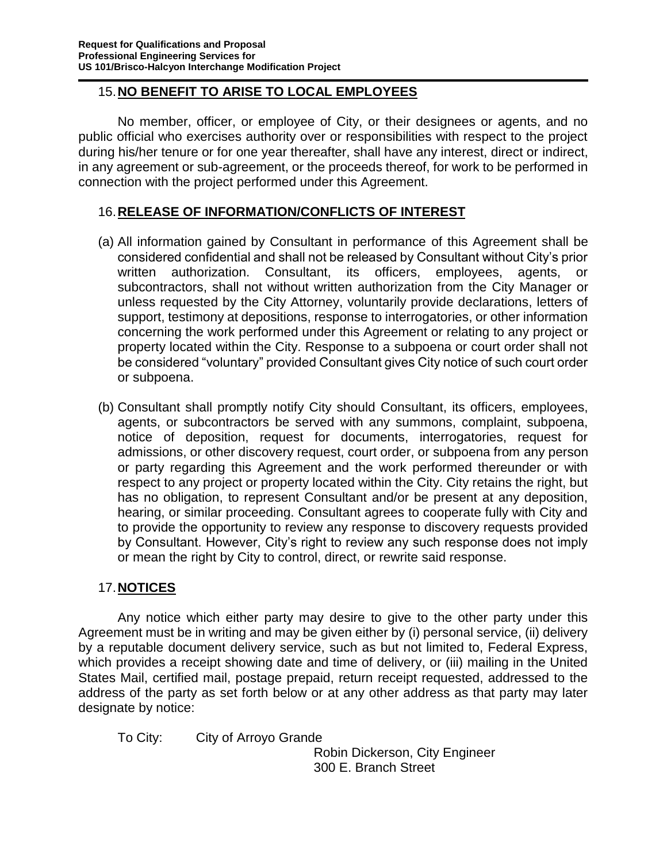## 15.**NO BENEFIT TO ARISE TO LOCAL EMPLOYEES**

No member, officer, or employee of City, or their designees or agents, and no public official who exercises authority over or responsibilities with respect to the project during his/her tenure or for one year thereafter, shall have any interest, direct or indirect, in any agreement or sub-agreement, or the proceeds thereof, for work to be performed in connection with the project performed under this Agreement.

## 16.**RELEASE OF INFORMATION/CONFLICTS OF INTEREST**

- (a) All information gained by Consultant in performance of this Agreement shall be considered confidential and shall not be released by Consultant without City's prior written authorization. Consultant, its officers, employees, agents, or subcontractors, shall not without written authorization from the City Manager or unless requested by the City Attorney, voluntarily provide declarations, letters of support, testimony at depositions, response to interrogatories, or other information concerning the work performed under this Agreement or relating to any project or property located within the City. Response to a subpoena or court order shall not be considered "voluntary" provided Consultant gives City notice of such court order or subpoena.
- (b) Consultant shall promptly notify City should Consultant, its officers, employees, agents, or subcontractors be served with any summons, complaint, subpoena, notice of deposition, request for documents, interrogatories, request for admissions, or other discovery request, court order, or subpoena from any person or party regarding this Agreement and the work performed thereunder or with respect to any project or property located within the City. City retains the right, but has no obligation, to represent Consultant and/or be present at any deposition, hearing, or similar proceeding. Consultant agrees to cooperate fully with City and to provide the opportunity to review any response to discovery requests provided by Consultant. However, City's right to review any such response does not imply or mean the right by City to control, direct, or rewrite said response.

## 17.**NOTICES**

Any notice which either party may desire to give to the other party under this Agreement must be in writing and may be given either by (i) personal service, (ii) delivery by a reputable document delivery service, such as but not limited to, Federal Express, which provides a receipt showing date and time of delivery, or (iii) mailing in the United States Mail, certified mail, postage prepaid, return receipt requested, addressed to the address of the party as set forth below or at any other address as that party may later designate by notice:

To City: City of Arroyo Grande

Robin Dickerson, City Engineer 300 E. Branch Street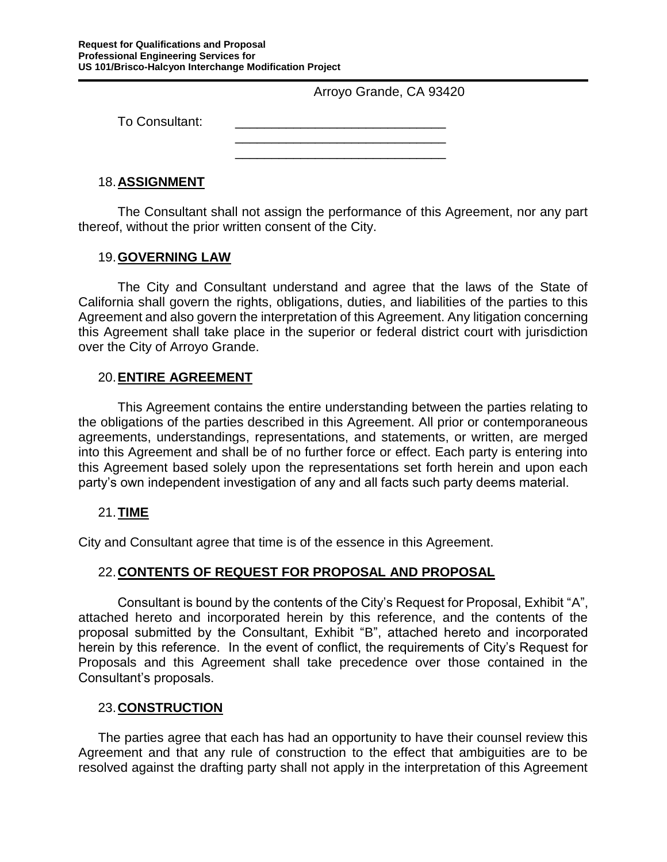Arroyo Grande, CA 93420

To Consultant:

\_\_\_\_\_\_\_\_\_\_\_\_\_\_\_\_\_\_\_\_\_\_\_\_\_\_\_\_\_ \_\_\_\_\_\_\_\_\_\_\_\_\_\_\_\_\_\_\_\_\_\_\_\_\_\_\_\_\_

#### 18.**ASSIGNMENT**

The Consultant shall not assign the performance of this Agreement, nor any part thereof, without the prior written consent of the City.

#### 19.**GOVERNING LAW**

The City and Consultant understand and agree that the laws of the State of California shall govern the rights, obligations, duties, and liabilities of the parties to this Agreement and also govern the interpretation of this Agreement. Any litigation concerning this Agreement shall take place in the superior or federal district court with jurisdiction over the City of Arroyo Grande.

#### 20.**ENTIRE AGREEMENT**

This Agreement contains the entire understanding between the parties relating to the obligations of the parties described in this Agreement. All prior or contemporaneous agreements, understandings, representations, and statements, or written, are merged into this Agreement and shall be of no further force or effect. Each party is entering into this Agreement based solely upon the representations set forth herein and upon each party's own independent investigation of any and all facts such party deems material.

#### 21.**TIME**

City and Consultant agree that time is of the essence in this Agreement.

#### 22.**CONTENTS OF REQUEST FOR PROPOSAL AND PROPOSAL**

Consultant is bound by the contents of the City's Request for Proposal, Exhibit "A", attached hereto and incorporated herein by this reference, and the contents of the proposal submitted by the Consultant, Exhibit "B", attached hereto and incorporated herein by this reference. In the event of conflict, the requirements of City's Request for Proposals and this Agreement shall take precedence over those contained in the Consultant's proposals.

#### 23.**CONSTRUCTION**

The parties agree that each has had an opportunity to have their counsel review this Agreement and that any rule of construction to the effect that ambiguities are to be resolved against the drafting party shall not apply in the interpretation of this Agreement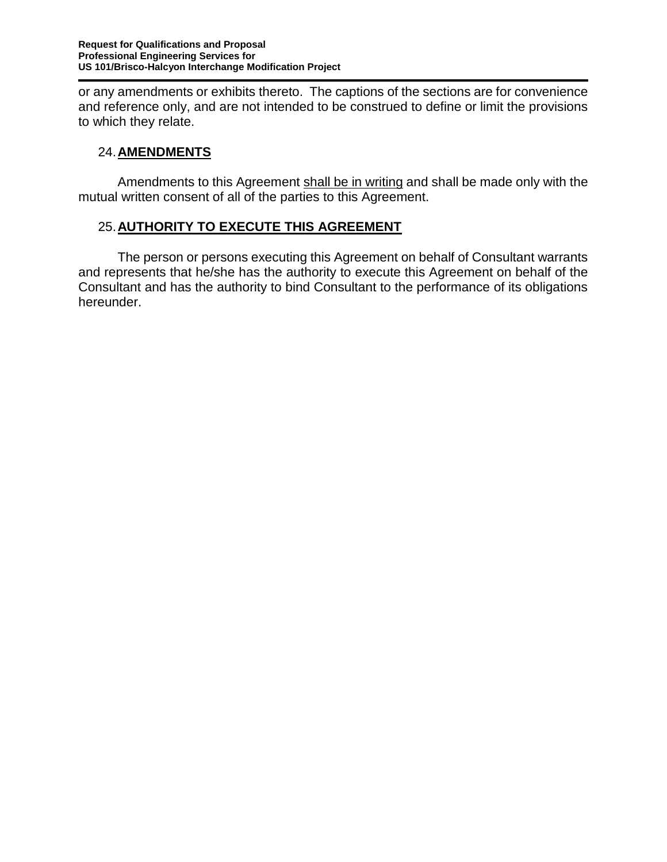or any amendments or exhibits thereto. The captions of the sections are for convenience and reference only, and are not intended to be construed to define or limit the provisions to which they relate.

## 24.**AMENDMENTS**

Amendments to this Agreement shall be in writing and shall be made only with the mutual written consent of all of the parties to this Agreement.

## 25.**AUTHORITY TO EXECUTE THIS AGREEMENT**

The person or persons executing this Agreement on behalf of Consultant warrants and represents that he/she has the authority to execute this Agreement on behalf of the Consultant and has the authority to bind Consultant to the performance of its obligations hereunder.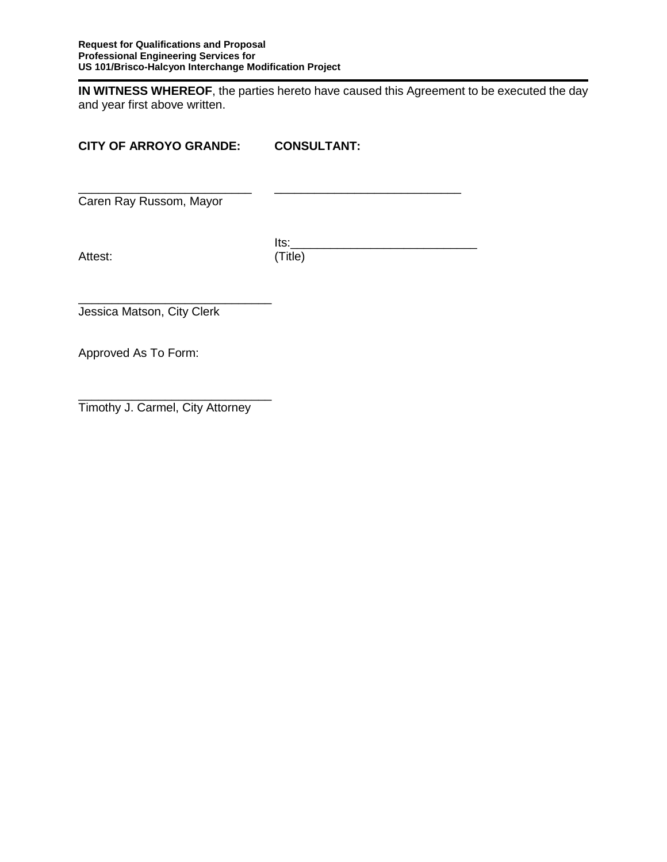**IN WITNESS WHEREOF**, the parties hereto have caused this Agreement to be executed the day and year first above written.

## **CITY OF ARROYO GRANDE: CONSULTANT:**

\_\_\_\_\_\_\_\_\_\_\_\_\_\_\_\_\_\_\_\_\_\_\_\_\_\_ \_\_\_\_\_\_\_\_\_\_\_\_\_\_\_\_\_\_\_\_\_\_\_\_\_\_\_\_

Caren Ray Russom, Mayor

 Its:\_\_\_\_\_\_\_\_\_\_\_\_\_\_\_\_\_\_\_\_\_\_\_\_\_\_\_\_ Attest: (Title)

\_\_\_\_\_\_\_\_\_\_\_\_\_\_\_\_\_\_\_\_\_\_\_\_\_\_\_\_\_ Jessica Matson, City Clerk

Approved As To Form:

\_\_\_\_\_\_\_\_\_\_\_\_\_\_\_\_\_\_\_\_\_\_\_\_\_\_\_\_\_ Timothy J. Carmel, City Attorney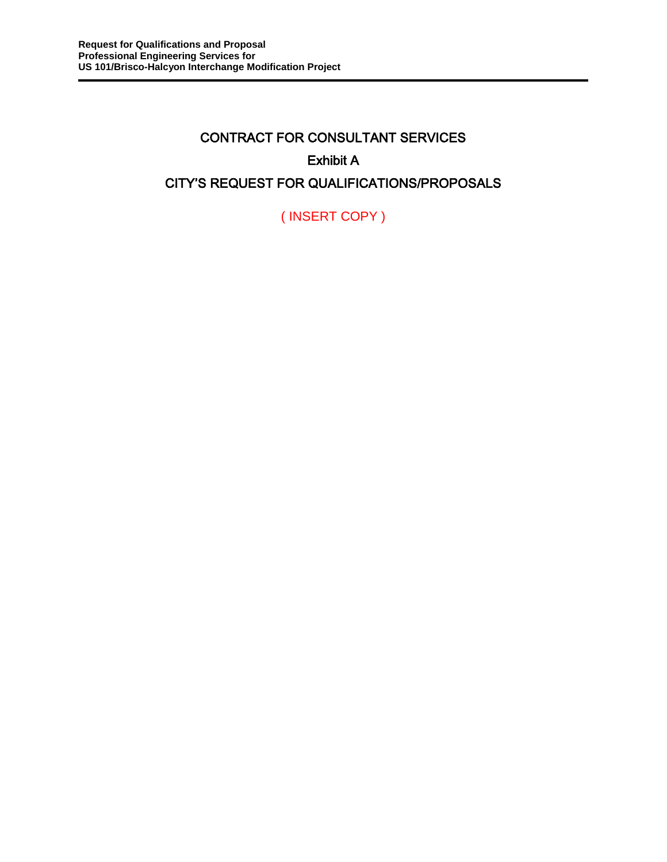# CONTRACT FOR CONSULTANT SERVICES Exhibit A CITY'S REQUEST FOR QUALIFICATIONS/PROPOSALS

( INSERT COPY )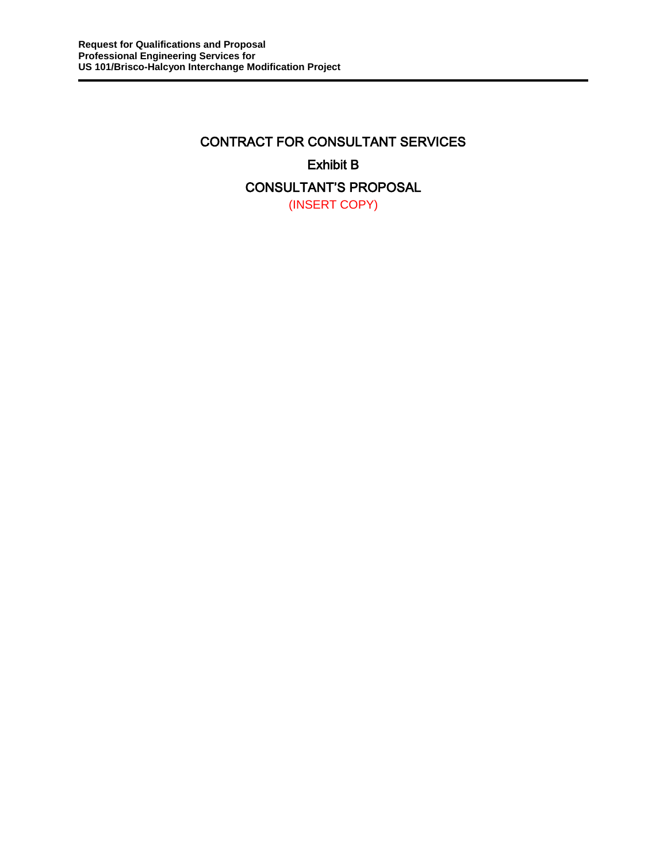## CONTRACT FOR CONSULTANT SERVICES Exhibit B CONSULTANT'S PROPOSAL (INSERT COPY)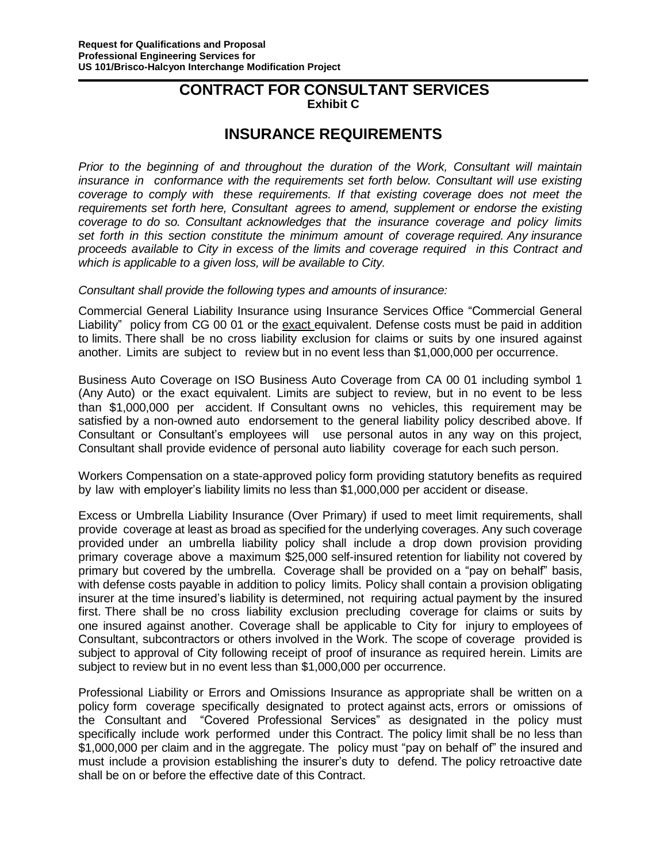## **CONTRACT FOR CONSULTANT SERVICES Exhibit C**

## **INSURANCE REQUIREMENTS**

*Prior to the beginning of and throughout the duration of the Work, Consultant will maintain insurance in conformance with the requirements set forth below. Consultant will use existing coverage to comply with these requirements. If that existing coverage does not meet the requirements set forth here, Consultant agrees to amend, supplement or endorse the existing coverage to do so. Consultant acknowledges that the insurance coverage and policy limits set forth in this section constitute the minimum amount of coverage required. Any insurance proceeds available to City in excess of the limits and coverage required in this Contract and which is applicable to a given loss, will be available to City.*

#### *Consultant shall provide the following types and amounts of insurance:*

Commercial General Liability Insurance using Insurance Services Office "Commercial General Liability" policy from CG 00 01 or the exact equivalent. Defense costs must be paid in addition to limits. There shall be no cross liability exclusion for claims or suits by one insured against another. Limits are subject to review but in no event less than \$1,000,000 per occurrence.

Business Auto Coverage on ISO Business Auto Coverage from CA 00 01 including symbol 1 (Any Auto) or the exact equivalent. Limits are subject to review, but in no event to be less than \$1,000,000 per accident. If Consultant owns no vehicles, this requirement may be satisfied by a non-owned auto endorsement to the general liability policy described above. If Consultant or Consultant's employees will use personal autos in any way on this project, Consultant shall provide evidence of personal auto liability coverage for each such person.

Workers Compensation on a state-approved policy form providing statutory benefits as required by law with employer's liability limits no less than \$1,000,000 per accident or disease.

Excess or Umbrella Liability Insurance (Over Primary) if used to meet limit requirements, shall provide coverage at least as broad as specified for the underlying coverages. Any such coverage provided under an umbrella liability policy shall include a drop down provision providing primary coverage above a maximum \$25,000 self-insured retention for liability not covered by primary but covered by the umbrella. Coverage shall be provided on a "pay on behalf" basis, with defense costs payable in addition to policy limits. Policy shall contain a provision obligating insurer at the time insured's liability is determined, not requiring actual payment by the insured first. There shall be no cross liability exclusion precluding coverage for claims or suits by one insured against another. Coverage shall be applicable to City for injury to employees of Consultant, subcontractors or others involved in the Work. The scope of coverage provided is subject to approval of City following receipt of proof of insurance as required herein. Limits are subject to review but in no event less than \$1,000,000 per occurrence.

Professional Liability or Errors and Omissions Insurance as appropriate shall be written on a policy form coverage specifically designated to protect against acts, errors or omissions of the Consultant and "Covered Professional Services" as designated in the policy must specifically include work performed under this Contract. The policy limit shall be no less than \$1,000,000 per claim and in the aggregate. The policy must "pay on behalf of" the insured and must include a provision establishing the insurer's duty to defend. The policy retroactive date shall be on or before the effective date of this Contract.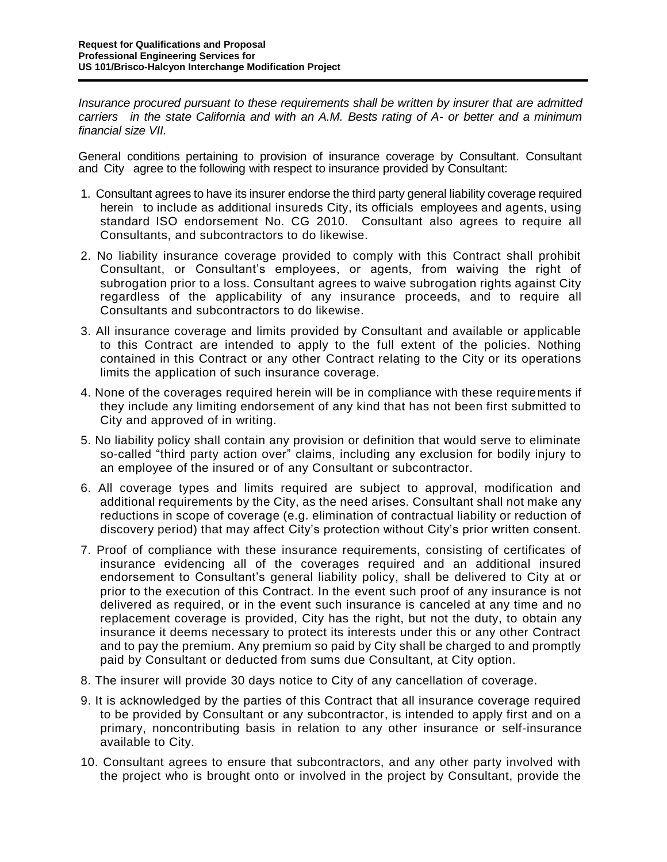*Insurance procured pursuant to these requirements shall be written by insurer that are admitted carriers in the state California and with an A.M. Bests rating of A- or better and a minimum financial size VII.*

General conditions pertaining to provision of insurance coverage by Consultant. Consultant and City agree to the following with respect to insurance provided by Consultant:

- 1. Consultant agrees to have its insurer endorse the third party general liability coverage required herein to include as additional insureds City, its officials employees and agents, using standard ISO endorsement No. CG 2010. Consultant also agrees to require all Consultants, and subcontractors to do likewise.
- 2. No liability insurance coverage provided to comply with this Contract shall prohibit Consultant, or Consultant's employees, or agents, from waiving the right of subrogation prior to a loss. Consultant agrees to waive subrogation rights against City regardless of the applicability of any insurance proceeds, and to require all Consultants and subcontractors to do likewise.
- 3. All insurance coverage and limits provided by Consultant and available or applicable to this Contract are intended to apply to the full extent of the policies. Nothing contained in this Contract or any other Contract relating to the City or its operations limits the application of such insurance coverage.
- 4. None of the coverages required herein will be in compliance with these requirements if they include any limiting endorsement of any kind that has not been first submitted to City and approved of in writing.
- 5. No liability policy shall contain any provision or definition that would serve to eliminate so-called "third party action over" claims, including any exclusion for bodily injury to an employee of the insured or of any Consultant or subcontractor.
- 6. All coverage types and limits required are subject to approval, modification and additional requirements by the City, as the need arises. Consultant shall not make any reductions in scope of coverage (e.g. elimination of contractual liability or reduction of discovery period) that may affect City's protection without City's prior written consent.
- 7. Proof of compliance with these insurance requirements, consisting of certificates of insurance evidencing all of the coverages required and an additional insured endorsement to Consultant's general liability policy, shall be delivered to City at or prior to the execution of this Contract. In the event such proof of any insurance is not delivered as required, or in the event such insurance is canceled at any time and no replacement coverage is provided, City has the right, but not the duty, to obtain any insurance it deems necessary to protect its interests under this or any other Contract and to pay the premium. Any premium so paid by City shall be charged to and promptly paid by Consultant or deducted from sums due Consultant, at City option.
- 8. The insurer will provide 30 days notice to City of any cancellation of coverage.
- 9. It is acknowledged by the parties of this Contract that all insurance coverage required to be provided by Consultant or any subcontractor, is intended to apply first and on a primary, noncontributing basis in relation to any other insurance or self-insurance available to City.
- 10. Consultant agrees to ensure that subcontractors, and any other party involved with the project who is brought onto or involved in the project by Consultant, provide the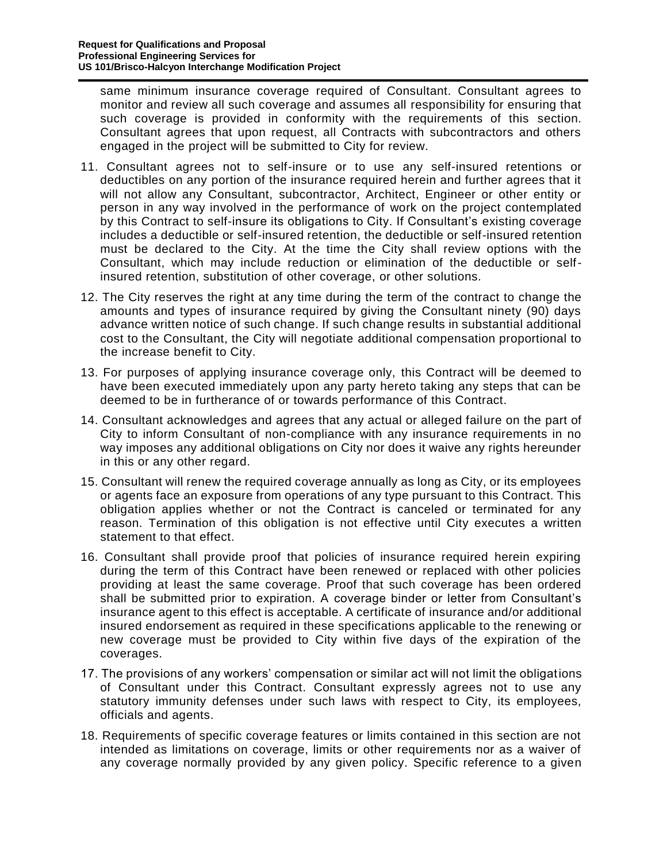same minimum insurance coverage required of Consultant. Consultant agrees to monitor and review all such coverage and assumes all responsibility for ensuring that such coverage is provided in conformity with the requirements of this section. Consultant agrees that upon request, all Contracts with subcontractors and others engaged in the project will be submitted to City for review.

- 11. Consultant agrees not to self-insure or to use any self-insured retentions or deductibles on any portion of the insurance required herein and further agrees that it will not allow any Consultant, subcontractor, Architect, Engineer or other entity or person in any way involved in the performance of work on the project contemplated by this Contract to self-insure its obligations to City. If Consultant's existing coverage includes a deductible or self-insured retention, the deductible or self-insured retention must be declared to the City. At the time the City shall review options with the Consultant, which may include reduction or elimination of the deductible or selfinsured retention, substitution of other coverage, or other solutions.
- 12. The City reserves the right at any time during the term of the contract to change the amounts and types of insurance required by giving the Consultant ninety (90) days advance written notice of such change. If such change results in substantial additional cost to the Consultant, the City will negotiate additional compensation proportional to the increase benefit to City.
- 13. For purposes of applying insurance coverage only, this Contract will be deemed to have been executed immediately upon any party hereto taking any steps that can be deemed to be in furtherance of or towards performance of this Contract.
- 14. Consultant acknowledges and agrees that any actual or alleged failure on the part of City to inform Consultant of non-compliance with any insurance requirements in no way imposes any additional obligations on City nor does it waive any rights hereunder in this or any other regard.
- 15. Consultant will renew the required coverage annually as long as City, or its employees or agents face an exposure from operations of any type pursuant to this Contract. This obligation applies whether or not the Contract is canceled or terminated for any reason. Termination of this obligation is not effective until City executes a written statement to that effect.
- 16. Consultant shall provide proof that policies of insurance required herein expiring during the term of this Contract have been renewed or replaced with other policies providing at least the same coverage. Proof that such coverage has been ordered shall be submitted prior to expiration. A coverage binder or letter from Consultant's insurance agent to this effect is acceptable. A certificate of insurance and/or additional insured endorsement as required in these specifications applicable to the renewing or new coverage must be provided to City within five days of the expiration of the coverages.
- 17. The provisions of any workers' compensation or similar act will not limit the obligations of Consultant under this Contract. Consultant expressly agrees not to use any statutory immunity defenses under such laws with respect to City, its employees, officials and agents.
- 18. Requirements of specific coverage features or limits contained in this section are not intended as limitations on coverage, limits or other requirements nor as a waiver of any coverage normally provided by any given policy. Specific reference to a given